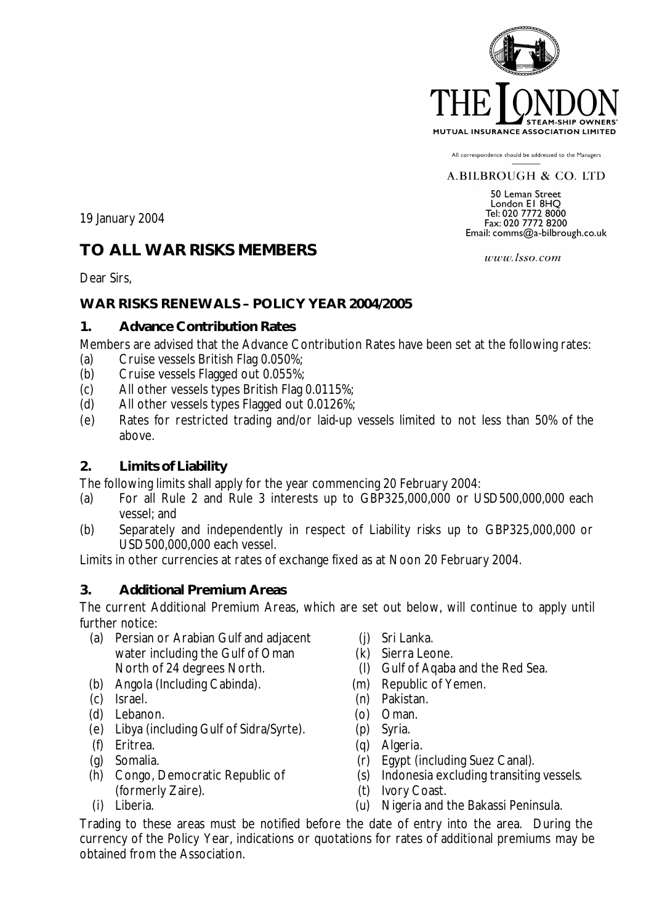

All correspondence should be addressed to the Managers

#### A.BILBROUGH & CO. LTD

50 Leman Street **Solution ET 8HQ<br>
London ET 8HQ<br>
Tel: 020 7772 8000<br>
Fax: 020 7772 8200** Email: comms@a-bilbrough.co.uk

19 January 2004

# **TO ALL WAR RISKS MEMBERS**

Dear Sirs,

#### **WAR RISKS RENEWALS – POLICY YEAR 2004/2005**

#### **1. Advance Contribution Rates**

Members are advised that the Advance Contribution Rates have been set at the following rates:

- (a) Cruise vessels British Flag 0.050%;
- (b) Cruise vessels Flagged out 0.055%;
- (c) All other vessels types British Flag 0.0115%;
- (d) All other vessels types Flagged out 0.0126%;
- (e) Rates for restricted trading and/or laid-up vessels limited to not less than 50% of the above.

### **2. Limits of Liability**

The following limits shall apply for the year commencing 20 February 2004:

- (a) For all Rule 2 and Rule 3 interests up to GBP325,000,000 or USD500,000,000 each vessel; and
- (b) Separately and independently in respect of Liability risks up to GBP325,000,000 or USD500,000,000 each vessel.

Limits in other currencies at rates of exchange fixed as at Noon 20 February 2004.

#### **3. Additional Premium Areas**

The current Additional Premium Areas, which are set out below, will continue to apply until further notice:

- (a) Persian or Arabian Gulf and adjacent water including the Gulf of Oman North of 24 degrees North.
- (b) Angola (Including Cabinda).
- (c) Israel.
- (d) Lebanon.
- (e) Libya (including Gulf of Sidra/Syrte).
- (f) Eritrea.
- (g) Somalia.
- (h) Congo, Democratic Republic of (formerly Zaire).
- (i) Liberia.
- (j) Sri Lanka.
- (k) Sierra Leone.
- (l) Gulf of Aqaba and the Red Sea.
- (m) Republic of Yemen.
- (n) Pakistan.
- (o) Oman.
- (p) Syria.
- (q) Algeria.
- (r) Egypt (including Suez Canal).
- (s) Indonesia excluding transiting vessels.
- (t) Ivory Coast.
- (u) Nigeria and the Bakassi Peninsula.

Trading to these areas must be notified before the date of entry into the area. During the currency of the Policy Year, indications or quotations for rates of additional premiums may be obtained from the Association.

www.lsso.com